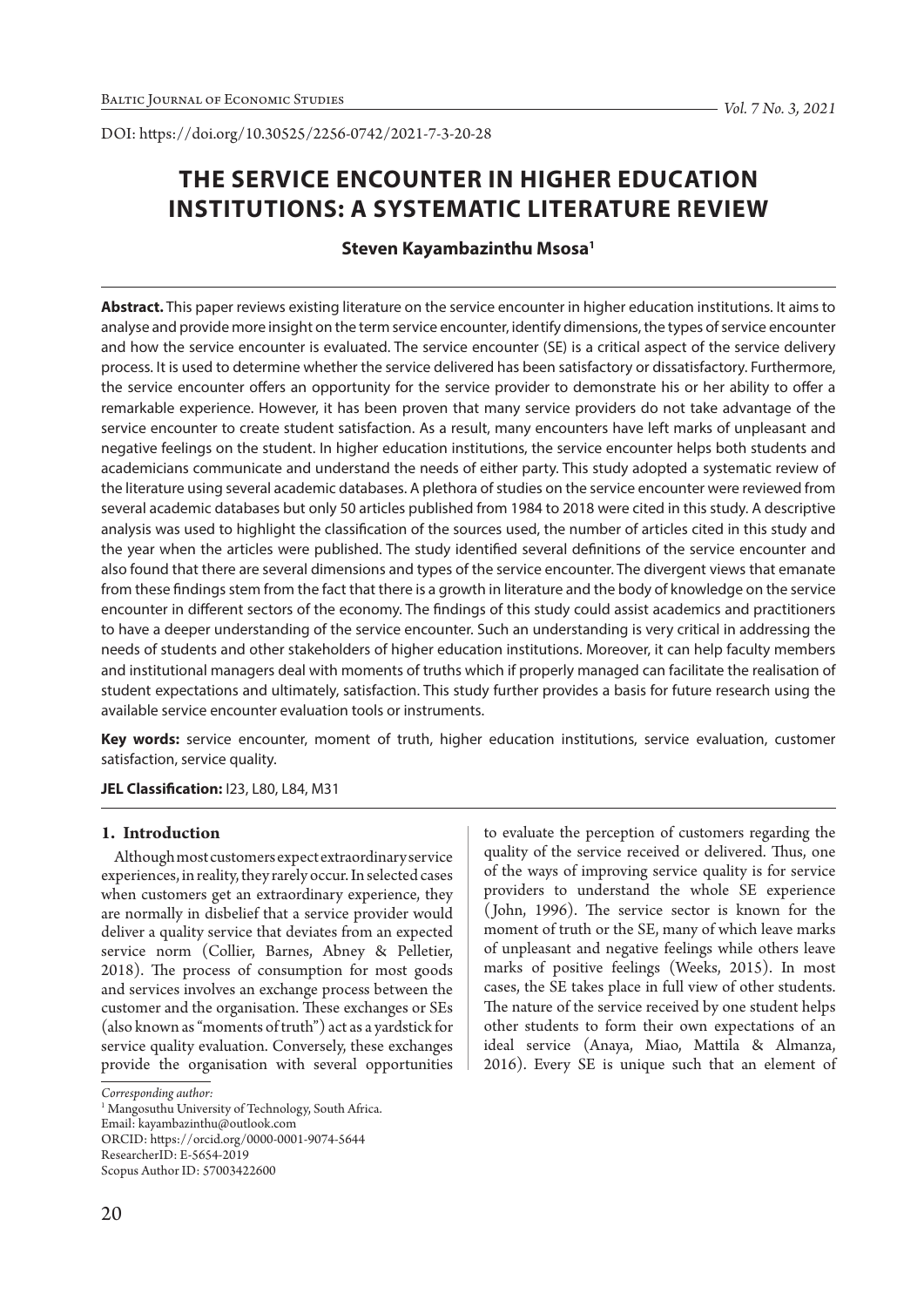# **THE SERVICE ENCOUNTER IN HIGHER EDUCATION INSTITUTIONS: A SYSTEMATIC LITERATURE REVIEW**

## **Steven Kayambazinthu Msosa1**

**Abstract.** This paper reviews existing literature on the service encounter in higher education institutions. It aims to analyse and provide more insight on the term service encounter, identify dimensions, the types of service encounter and how the service encounter is evaluated. The service encounter (SE) is a critical aspect of the service delivery process. It is used to determine whether the service delivered has been satisfactory or dissatisfactory. Furthermore, the service encounter offers an opportunity for the service provider to demonstrate his or her ability to offer a remarkable experience. However, it has been proven that many service providers do not take advantage of the service encounter to create student satisfaction. As a result, many encounters have left marks of unpleasant and negative feelings on the student. In higher education institutions, the service encounter helps both students and academicians communicate and understand the needs of either party. This study adopted a systematic review of the literature using several academic databases. A plethora of studies on the service encounter were reviewed from several academic databases but only 50 articles published from 1984 to 2018 were cited in this study. A descriptive analysis was used to highlight the classification of the sources used, the number of articles cited in this study and the year when the articles were published. The study identified several definitions of the service encounter and also found that there are several dimensions and types of the service encounter. The divergent views that emanate from these findings stem from the fact that there is a growth in literature and the body of knowledge on the service encounter in different sectors of the economy. The findings of this study could assist academics and practitioners to have a deeper understanding of the service encounter. Such an understanding is very critical in addressing the needs of students and other stakeholders of higher education institutions. Moreover, it can help faculty members and institutional managers deal with moments of truths which if properly managed can facilitate the realisation of student expectations and ultimately, satisfaction. This study further provides a basis for future research using the available service encounter evaluation tools or instruments.

**Key words:** service encounter, moment of truth, higher education institutions, service evaluation, customer satisfaction, service quality.

### **JEL Classification:** I23, L80, L84, M31

## **1. Introduction**

Although most customers expect extraordinary service experiences, in reality, they rarely occur. In selected cases when customers get an extraordinary experience, they are normally in disbelief that a service provider would deliver a quality service that deviates from an expected service norm (Collier, Barnes, Abney & Pelletier, 2018). The process of consumption for most goods and services involves an exchange process between the customer and the organisation. These exchanges or SEs (also known as "moments of truth") act as a yardstick for service quality evaluation. Conversely, these exchanges provide the organisation with several opportunities

Email: kayambazinthu@outlook.com

ResearcherID: E-5654-2019

to evaluate the perception of customers regarding the quality of the service received or delivered. Thus, one of the ways of improving service quality is for service providers to understand the whole SE experience ( John, 1996). The service sector is known for the moment of truth or the SE, many of which leave marks of unpleasant and negative feelings while others leave marks of positive feelings (Weeks, 2015). In most cases, the SE takes place in full view of other students. The nature of the service received by one student helps other students to form their own expectations of an ideal service (Anaya, Miao, Mattila & Almanza, 2016). Every SE is unique such that an element of

*Corresponding author:*

<sup>&</sup>lt;sup>1</sup> Mangosuthu University of Technology, South Africa.

ORCID: https://orcid.org/0000-0001-9074-5644

Scopus Author ID: 57003422600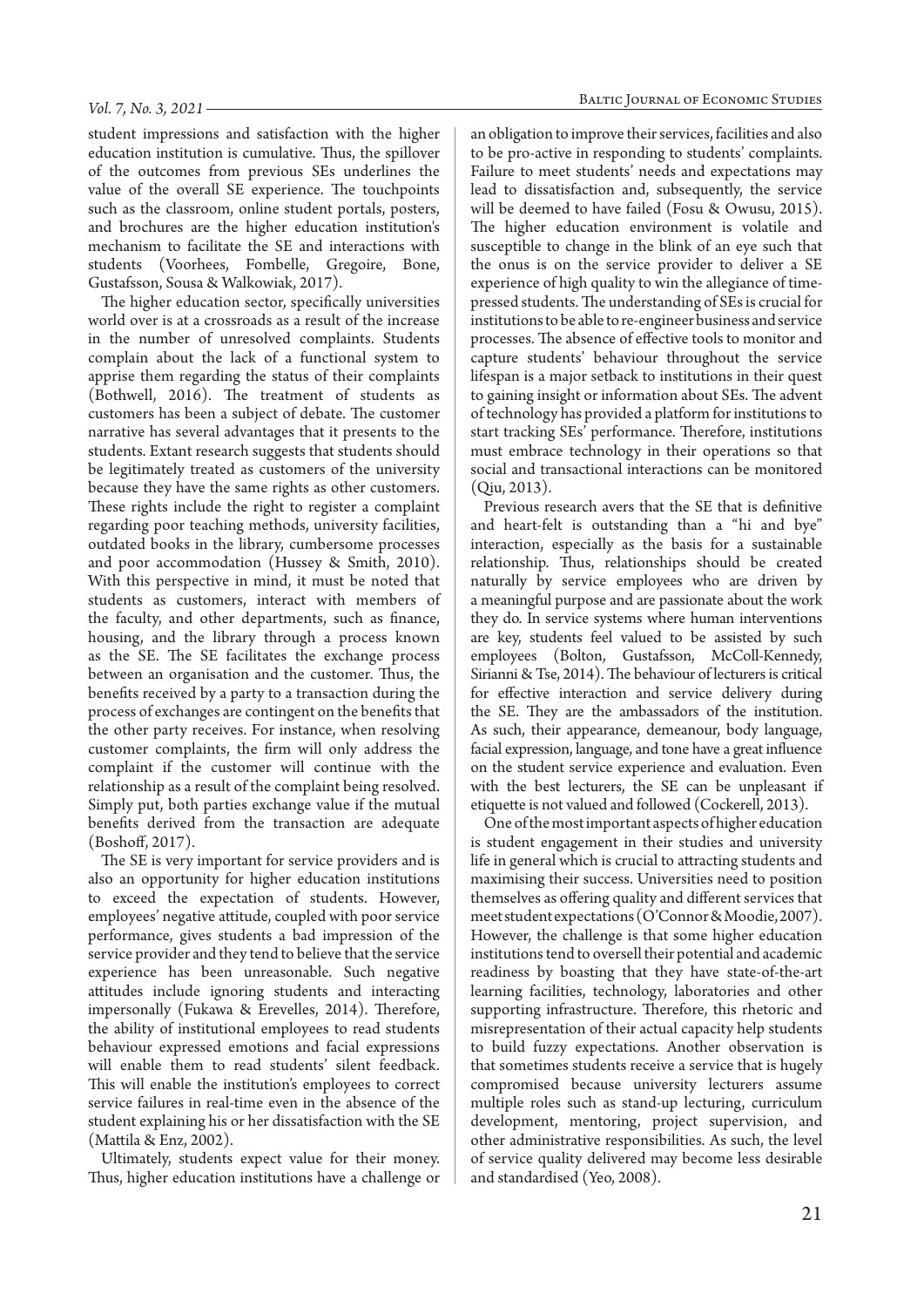student impressions and satisfaction with the higher education institution is cumulative. Thus, the spillover of the outcomes from previous SEs underlines the value of the overall SE experience. The touchpoints such as the classroom, online student portals, posters, and brochures are the higher education institution's mechanism to facilitate the SE and interactions with students (Voorhees, Fombelle, Gregoire, Bone, Gustafsson, Sousa & Walkowiak, 2017).

The higher education sector, specifically universities world over is at a crossroads as a result of the increase in the number of unresolved complaints. Students complain about the lack of a functional system to apprise them regarding the status of their complaints (Bothwell, 2016). The treatment of students as customers has been a subject of debate. The customer narrative has several advantages that it presents to the students. Extant research suggests that students should be legitimately treated as customers of the university because they have the same rights as other customers. These rights include the right to register a complaint regarding poor teaching methods, university facilities, outdated books in the library, cumbersome processes and poor accommodation (Hussey & Smith, 2010). With this perspective in mind, it must be noted that students as customers, interact with members of the faculty, and other departments, such as finance, housing, and the library through a process known as the SE. The SE facilitates the exchange process between an organisation and the customer. Thus, the benefits received by a party to a transaction during the process of exchanges are contingent on the benefits that the other party receives. For instance, when resolving customer complaints, the firm will only address the complaint if the customer will continue with the relationship as a result of the complaint being resolved. Simply put, both parties exchange value if the mutual benefits derived from the transaction are adequate (Boshoff, 2017).

The SE is very important for service providers and is also an opportunity for higher education institutions to exceed the expectation of students. However, employees' negative attitude, coupled with poor service performance, gives students a bad impression of the service provider and they tend to believe that the service experience has been unreasonable. Such negative attitudes include ignoring students and interacting impersonally (Fukawa & Erevelles, 2014). Therefore, the ability of institutional employees to read students behaviour expressed emotions and facial expressions will enable them to read students' silent feedback. This will enable the institution's employees to correct service failures in real-time even in the absence of the student explaining his or her dissatisfaction with the SE (Mattila & Enz, 2002).

Ultimately, students expect value for their money. Thus, higher education institutions have a challenge or

an obligation to improve their services, facilities and also to be pro-active in responding to students' complaints. Failure to meet students' needs and expectations may lead to dissatisfaction and, subsequently, the service will be deemed to have failed (Fosu & Owusu, 2015). The higher education environment is volatile and susceptible to change in the blink of an eye such that the onus is on the service provider to deliver a SE experience of high quality to win the allegiance of timepressed students. The understanding of SEs is crucial for institutions to be able to re-engineer business and service processes. The absence of effective tools to monitor and capture students' behaviour throughout the service lifespan is a major setback to institutions in their quest to gaining insight or information about SEs. The advent of technology has provided a platform for institutions to start tracking SEs' performance. Therefore, institutions must embrace technology in their operations so that social and transactional interactions can be monitored (Qiu, 2013).

Previous research avers that the SE that is definitive and heart-felt is outstanding than a "hi and bye" interaction, especially as the basis for a sustainable relationship. Thus, relationships should be created naturally by service employees who are driven by a meaningful purpose and are passionate about the work they do. In service systems where human interventions are key, students feel valued to be assisted by such employees (Bolton, Gustafsson, McColl-Kennedy, Sirianni & Tse, 2014). The behaviour of lecturers is critical for effective interaction and service delivery during the SE. They are the ambassadors of the institution. As such, their appearance, demeanour, body language, facial expression, language, and tone have a great influence on the student service experience and evaluation. Even with the best lecturers, the SE can be unpleasant if etiquette is not valued and followed (Cockerell, 2013).

One of the most important aspects of higher education is student engagement in their studies and university life in general which is crucial to attracting students and maximising their success. Universities need to position themselves as offering quality and different services that meet student expectations (O'Connor & Moodie, 2007). However, the challenge is that some higher education institutions tend to oversell their potential and academic readiness by boasting that they have state-of-the-art learning facilities, technology, laboratories and other supporting infrastructure. Therefore, this rhetoric and misrepresentation of their actual capacity help students to build fuzzy expectations. Another observation is that sometimes students receive a service that is hugely compromised because university lecturers assume multiple roles such as stand-up lecturing, curriculum development, mentoring, project supervision, and other administrative responsibilities. As such, the level of service quality delivered may become less desirable and standardised (Yeo, 2008).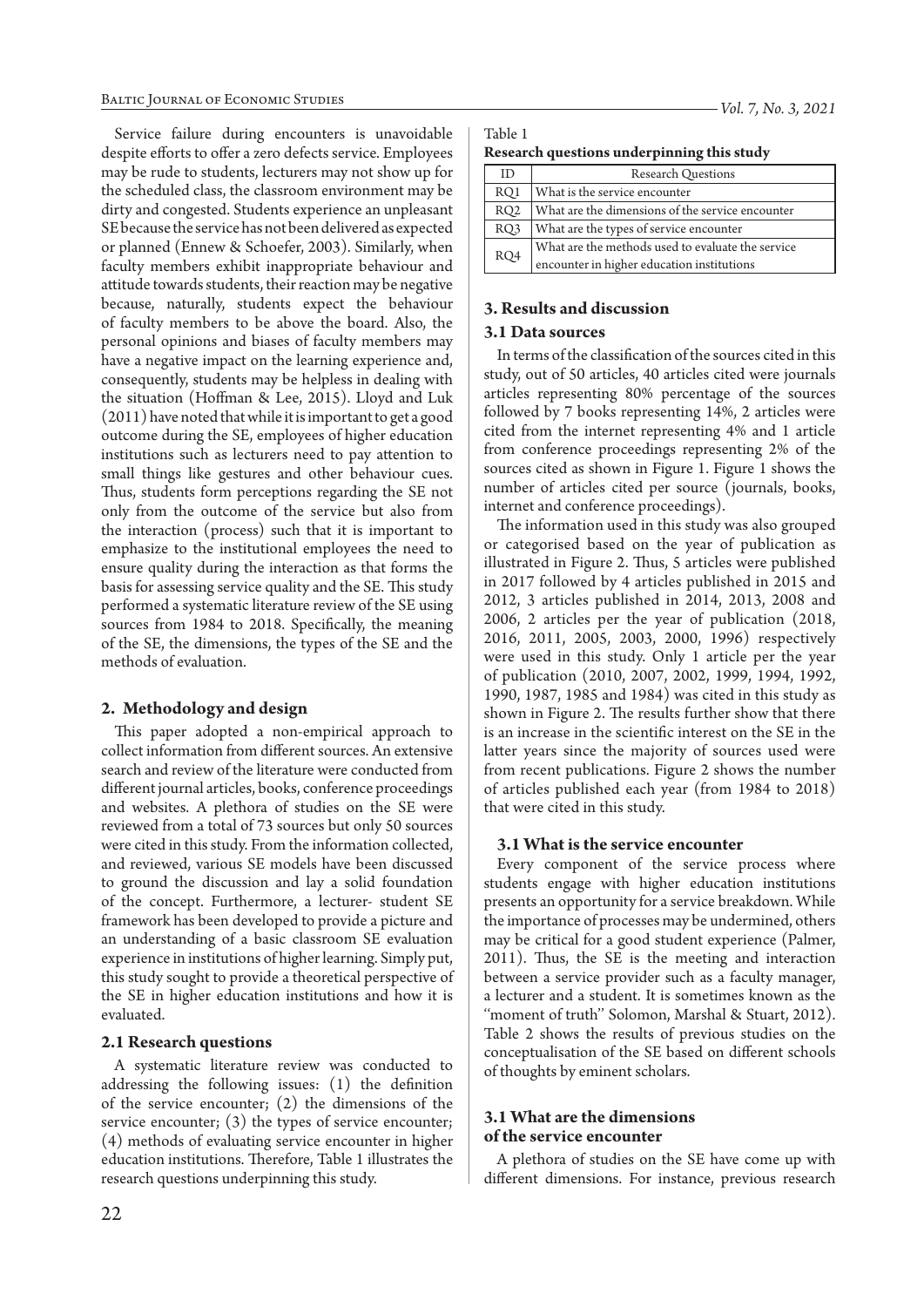Service failure during encounters is unavoidable despite efforts to offer a zero defects service. Employees may be rude to students, lecturers may not show up for the scheduled class, the classroom environment may be dirty and congested. Students experience an unpleasant SE because the service has not been delivered as expected or planned (Ennew & Schoefer, 2003). Similarly, when faculty members exhibit inappropriate behaviour and attitude towards students, their reaction may be negative because, naturally, students expect the behaviour of faculty members to be above the board. Also, the personal opinions and biases of faculty members may have a negative impact on the learning experience and, consequently, students may be helpless in dealing with the situation (Hoffman & Lee, 2015). Lloyd and Luk (2011) have noted that while it is important to get a good outcome during the SE, employees of higher education institutions such as lecturers need to pay attention to small things like gestures and other behaviour cues. Thus, students form perceptions regarding the SE not only from the outcome of the service but also from the interaction (process) such that it is important to emphasize to the institutional employees the need to ensure quality during the interaction as that forms the basis for assessing service quality and the SE. This study performed a systematic literature review of the SE using sources from 1984 to 2018. Specifically, the meaning of the SE, the dimensions, the types of the SE and the methods of evaluation.

#### **2. Methodology and design**

This paper adopted a non-empirical approach to collect information from different sources. An extensive search and review of the literature were conducted from different journal articles, books, conference proceedings and websites. A plethora of studies on the SE were reviewed from a total of 73 sources but only 50 sources were cited in this study. From the information collected, and reviewed, various SE models have been discussed to ground the discussion and lay a solid foundation of the concept. Furthermore, a lecturer- student SE framework has been developed to provide a picture and an understanding of a basic classroom SE evaluation experience in institutions of higher learning. Simply put, this study sought to provide a theoretical perspective of the SE in higher education institutions and how it is evaluated.

#### **2.1 Research questions**

A systematic literature review was conducted to addressing the following issues: (1) the definition of the service encounter; (2) the dimensions of the service encounter; (3) the types of service encounter; (4) methods of evaluating service encounter in higher education institutions. Therefore, Table 1 illustrates the research questions underpinning this study.

**Research questions underpinning this study**

| ID              | <b>Research Questions</b>                         |  |  |
|-----------------|---------------------------------------------------|--|--|
| RQ1             | What is the service encounter                     |  |  |
| RQ <sub>2</sub> | What are the dimensions of the service encounter  |  |  |
| RQ3             | What are the types of service encounter           |  |  |
| RQ4             | What are the methods used to evaluate the service |  |  |
|                 | encounter in higher education institutions        |  |  |

#### **3. Results and discussion**

#### **3.1 Data sources**

In terms of the classification of the sources cited in this study, out of 50 articles, 40 articles cited were journals articles representing 80% percentage of the sources followed by 7 books representing 14%, 2 articles were cited from the internet representing 4% and 1 article from conference proceedings representing 2% of the sources cited as shown in Figure 1. Figure 1 shows the number of articles cited per source (journals, books, internet and conference proceedings).

The information used in this study was also grouped or categorised based on the year of publication as illustrated in Figure 2. Thus, 5 articles were published in 2017 followed by 4 articles published in 2015 and 2012, 3 articles published in 2014, 2013, 2008 and 2006, 2 articles per the year of publication (2018, 2016, 2011, 2005, 2003, 2000, 1996) respectively were used in this study. Only 1 article per the year of publication (2010, 2007, 2002, 1999, 1994, 1992, 1990, 1987, 1985 and 1984) was cited in this study as shown in Figure 2. The results further show that there is an increase in the scientific interest on the SE in the latter years since the majority of sources used were from recent publications. Figure 2 shows the number of articles published each year (from 1984 to 2018) that were cited in this study.

#### **3.1 What is the service encounter**

Every component of the service process where students engage with higher education institutions presents an opportunity for a service breakdown. While the importance of processes may be undermined, others may be critical for a good student experience (Palmer, 2011). Thus, the SE is the meeting and interaction between a service provider such as a faculty manager, a lecturer and a student. It is sometimes known as the ''moment of truth'' Solomon, Marshal & Stuart, 2012). Table 2 shows the results of previous studies on the conceptualisation of the SE based on different schools of thoughts by eminent scholars.

## **3.1 What are the dimensions of the service encounter**

A plethora of studies on the SE have come up with different dimensions. For instance, previous research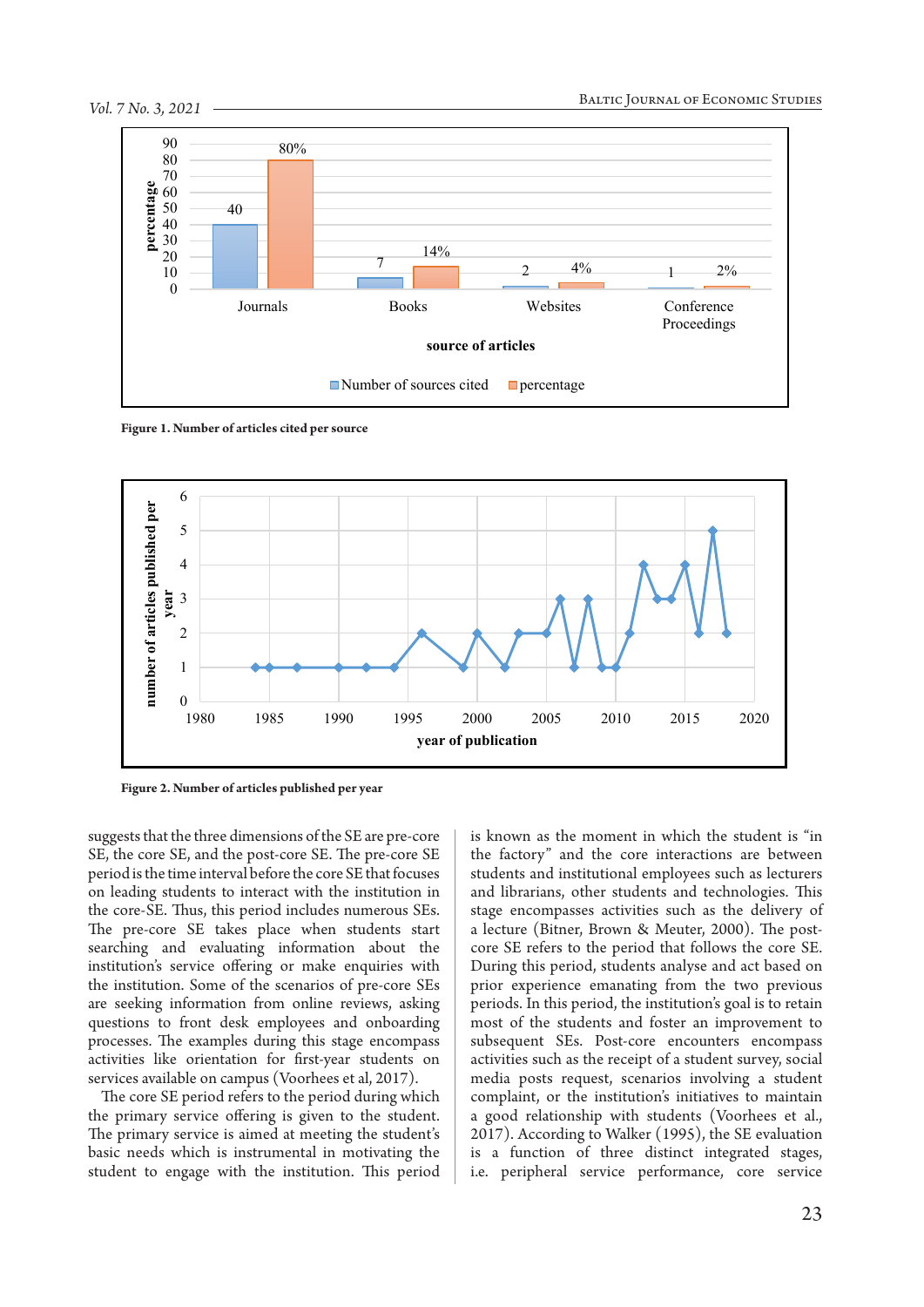

**Figure 1. Number of articles cited per source**



**Figure 2. Number of articles published per year**

suggests that the three dimensions of the SE are pre-core SE, the core SE, and the post-core SE. The pre-core SE period is the time interval before the core SE that focuses on leading students to interact with the institution in the core-SE. Thus, this period includes numerous SEs. The pre-core SE takes place when students start searching and evaluating information about the institution's service offering or make enquiries with the institution. Some of the scenarios of pre-core SEs are seeking information from online reviews, asking questions to front desk employees and onboarding processes. The examples during this stage encompass activities like orientation for first-year students on services available on campus (Voorhees et al, 2017).

The core SE period refers to the period during which the primary service offering is given to the student. The primary service is aimed at meeting the student's basic needs which is instrumental in motivating the student to engage with the institution. This period

is known as the moment in which the student is "in the factory" and the core interactions are between students and institutional employees such as lecturers and librarians, other students and technologies. This stage encompasses activities such as the delivery of a lecture (Bitner, Brown & Meuter, 2000). The postcore SE refers to the period that follows the core SE. During this period, students analyse and act based on prior experience emanating from the two previous periods. In this period, the institution's goal is to retain most of the students and foster an improvement to subsequent SEs. Post-core encounters encompass activities such as the receipt of a student survey, social media posts request, scenarios involving a student complaint, or the institution's initiatives to maintain a good relationship with students (Voorhees et al., 2017). According to Walker (1995), the SE evaluation is a function of three distinct integrated stages, i.e. peripheral service performance, core service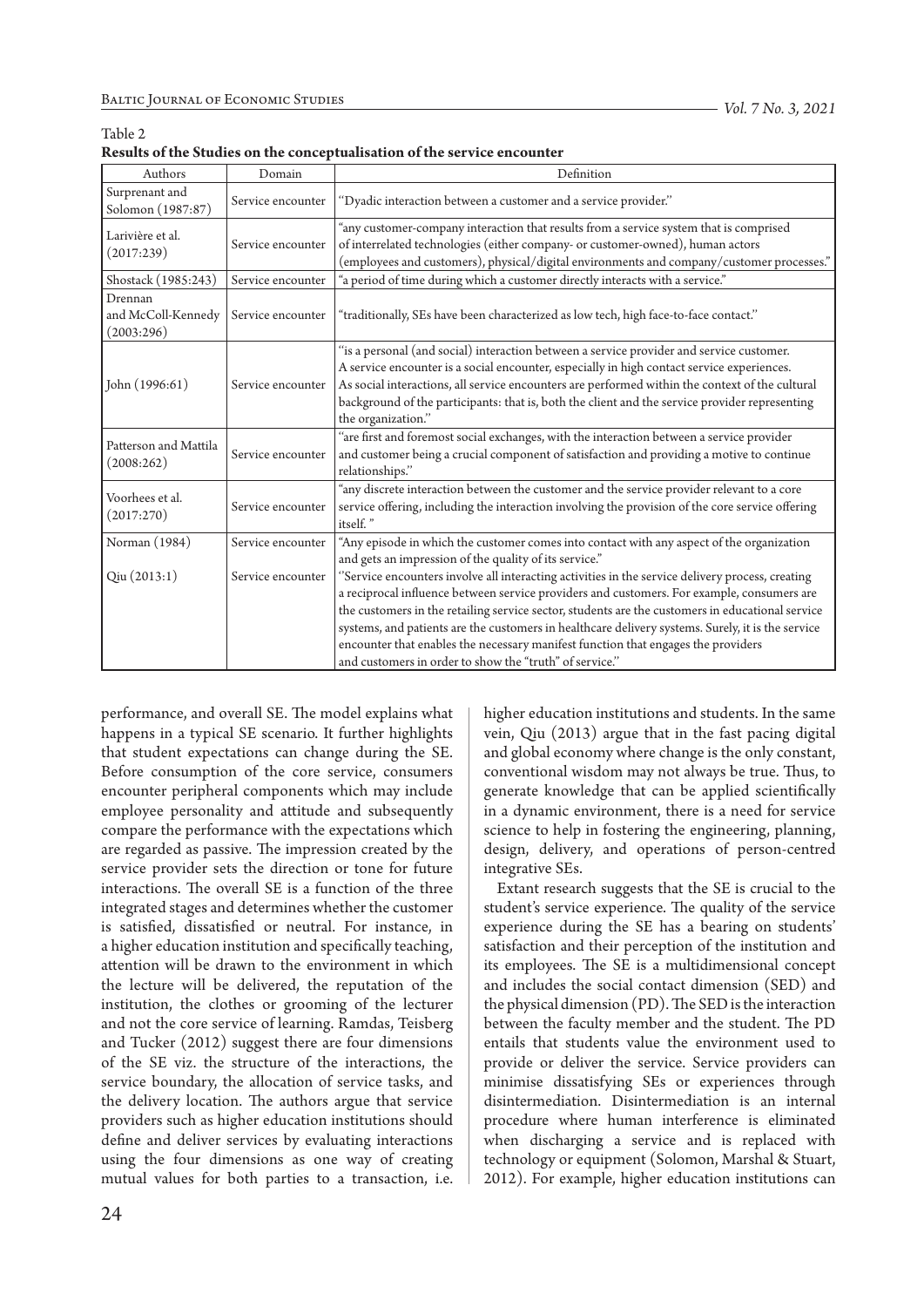| Authors                                     | Domain            | Definition                                                                                                                                                                                                                                                                                                                                                                                                                                                                                                                                              |  |
|---------------------------------------------|-------------------|---------------------------------------------------------------------------------------------------------------------------------------------------------------------------------------------------------------------------------------------------------------------------------------------------------------------------------------------------------------------------------------------------------------------------------------------------------------------------------------------------------------------------------------------------------|--|
| Surprenant and<br>Solomon (1987:87)         | Service encounter | "Dyadic interaction between a customer and a service provider."                                                                                                                                                                                                                                                                                                                                                                                                                                                                                         |  |
| Larivière et al.<br>(2017:239)              | Service encounter | "any customer-company interaction that results from a service system that is comprised<br>of interrelated technologies (either company- or customer-owned), human actors<br>(employees and customers), physical/digital environments and company/customer processes."                                                                                                                                                                                                                                                                                   |  |
| Shostack (1985:243)                         | Service encounter | "a period of time during which a customer directly interacts with a service."                                                                                                                                                                                                                                                                                                                                                                                                                                                                           |  |
| Drennan<br>and McColl-Kennedy<br>(2003:296) | Service encounter | "traditionally, SEs have been characterized as low tech, high face-to-face contact."                                                                                                                                                                                                                                                                                                                                                                                                                                                                    |  |
| John $(1996:61)$                            | Service encounter | "is a personal (and social) interaction between a service provider and service customer.<br>A service encounter is a social encounter, especially in high contact service experiences.<br>As social interactions, all service encounters are performed within the context of the cultural<br>background of the participants: that is, both the client and the service provider representing<br>the organization."                                                                                                                                       |  |
| Patterson and Mattila<br>(2008:262)         | Service encounter | "are first and foremost social exchanges, with the interaction between a service provider<br>and customer being a crucial component of satisfaction and providing a motive to continue<br>relationships."                                                                                                                                                                                                                                                                                                                                               |  |
| Voorhees et al.<br>(2017:270)               | Service encounter | "any discrete interaction between the customer and the service provider relevant to a core<br>service offering, including the interaction involving the provision of the core service offering<br>itself."                                                                                                                                                                                                                                                                                                                                              |  |
| Norman (1984)                               | Service encounter | "Any episode in which the customer comes into contact with any aspect of the organization<br>and gets an impression of the quality of its service."                                                                                                                                                                                                                                                                                                                                                                                                     |  |
| Qiu(2013:1)                                 | Service encounter | "Service encounters involve all interacting activities in the service delivery process, creating<br>a reciprocal influence between service providers and customers. For example, consumers are<br>the customers in the retailing service sector, students are the customers in educational service<br>systems, and patients are the customers in healthcare delivery systems. Surely, it is the service<br>encounter that enables the necessary manifest function that engages the providers<br>and customers in order to show the "truth" of service." |  |

| Table 2                                                                  |  |
|--------------------------------------------------------------------------|--|
| Results of the Studies on the conceptualisation of the service encounter |  |

performance, and overall SE. The model explains what happens in a typical SE scenario. It further highlights that student expectations can change during the SE. Before consumption of the core service, consumers encounter peripheral components which may include employee personality and attitude and subsequently compare the performance with the expectations which are regarded as passive. The impression created by the service provider sets the direction or tone for future interactions. The overall SE is a function of the three integrated stages and determines whether the customer is satisfied, dissatisfied or neutral. For instance, in a higher education institution and specifically teaching, attention will be drawn to the environment in which the lecture will be delivered, the reputation of the institution, the clothes or grooming of the lecturer and not the core service of learning. Ramdas, Teisberg and Tucker (2012) suggest there are four dimensions of the SE viz. the structure of the interactions, the service boundary, the allocation of service tasks, and the delivery location. The authors argue that service providers such as higher education institutions should define and deliver services by evaluating interactions using the four dimensions as one way of creating mutual values for both parties to a transaction, i.e. higher education institutions and students. In the same vein, Qiu (2013) argue that in the fast pacing digital and global economy where change is the only constant, conventional wisdom may not always be true. Thus, to generate knowledge that can be applied scientifically in a dynamic environment, there is a need for service science to help in fostering the engineering, planning, design, delivery, and operations of person-centred integrative SEs.

Extant research suggests that the SE is crucial to the student's service experience. The quality of the service experience during the SE has a bearing on students' satisfaction and their perception of the institution and its employees. The SE is a multidimensional concept and includes the social contact dimension (SED) and the physical dimension (PD). The SED is the interaction between the faculty member and the student. The PD entails that students value the environment used to provide or deliver the service. Service providers can minimise dissatisfying SEs or experiences through disintermediation. Disintermediation is an internal procedure where human interference is eliminated when discharging a service and is replaced with technology or equipment (Solomon, Marshal & Stuart, 2012). For example, higher education institutions can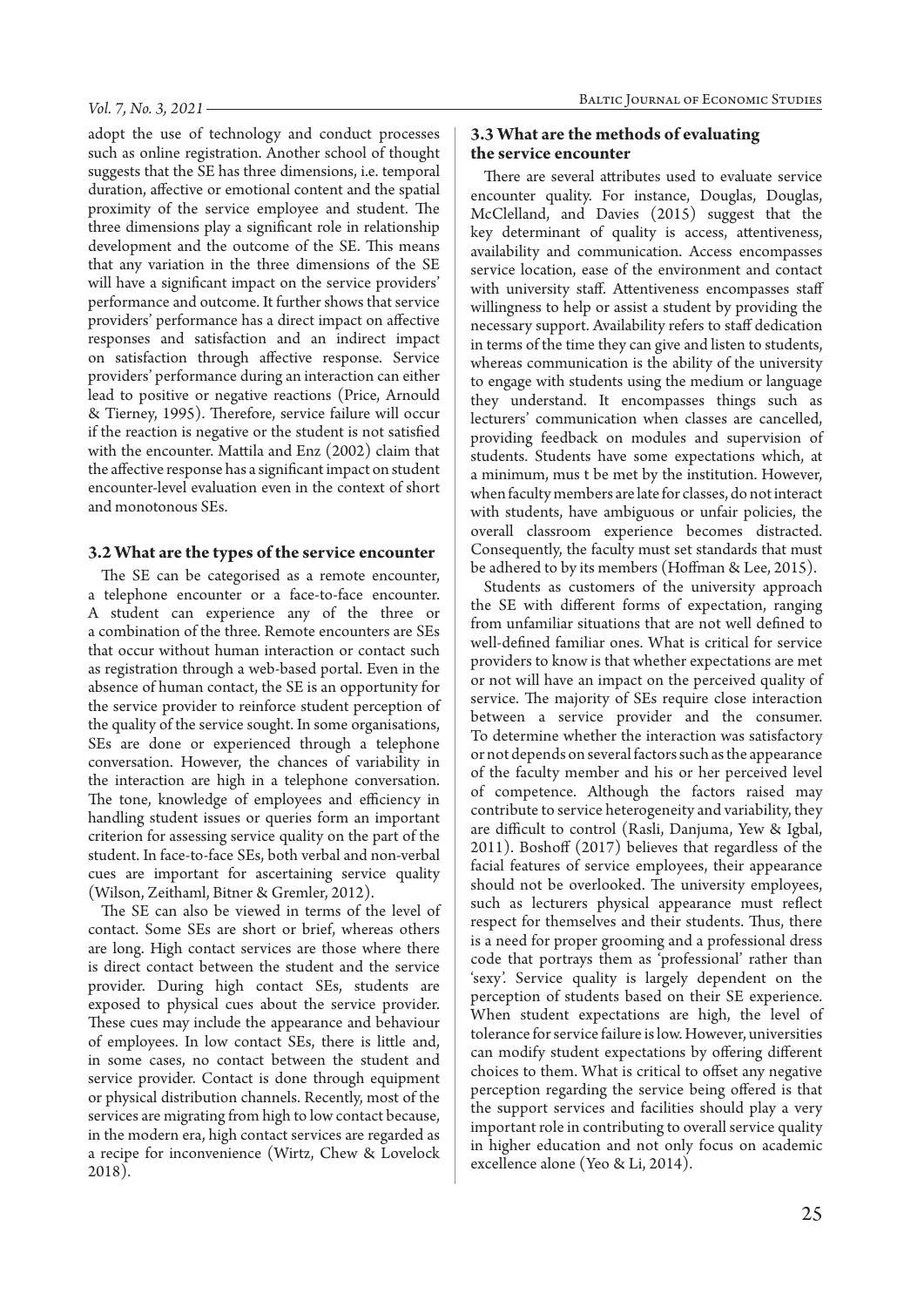adopt the use of technology and conduct processes such as online registration. Another school of thought suggests that the SE has three dimensions, i.e. temporal duration, affective or emotional content and the spatial proximity of the service employee and student. The three dimensions play a significant role in relationship development and the outcome of the SE. This means that any variation in the three dimensions of the SE will have a significant impact on the service providers' performance and outcome. It further shows that service providers' performance has a direct impact on affective responses and satisfaction and an indirect impact on satisfaction through affective response. Service providers' performance during an interaction can either lead to positive or negative reactions (Price, Arnould & Tierney, 1995). Therefore, service failure will occur if the reaction is negative or the student is not satisfied with the encounter. Mattila and Enz (2002) claim that the affective response has a significant impact on student encounter-level evaluation even in the context of short and monotonous SEs.

### **3.2 What are the types of the service encounter**

The SE can be categorised as a remote encounter, a telephone encounter or a face-to-face encounter. A student can experience any of the three or a combination of the three. Remote encounters are SEs that occur without human interaction or contact such as registration through a web-based portal. Even in the absence of human contact, the SE is an opportunity for the service provider to reinforce student perception of the quality of the service sought. In some organisations, SEs are done or experienced through a telephone conversation. However, the chances of variability in the interaction are high in a telephone conversation. The tone, knowledge of employees and efficiency in handling student issues or queries form an important criterion for assessing service quality on the part of the student. In face-to-face SEs, both verbal and non-verbal cues are important for ascertaining service quality (Wilson, Zeithaml, Bitner & Gremler, 2012).

The SE can also be viewed in terms of the level of contact. Some SEs are short or brief, whereas others are long. High contact services are those where there is direct contact between the student and the service provider. During high contact SEs, students are exposed to physical cues about the service provider. These cues may include the appearance and behaviour of employees. In low contact SEs, there is little and, in some cases, no contact between the student and service provider. Contact is done through equipment or physical distribution channels. Recently, most of the services are migrating from high to low contact because, in the modern era, high contact services are regarded as a recipe for inconvenience (Wirtz, Chew & Lovelock 2018).

## **3.3 What are the methods of evaluating the service encounter**

There are several attributes used to evaluate service encounter quality. For instance, Douglas, Douglas, McClelland, and Davies (2015) suggest that the key determinant of quality is access, attentiveness, availability and communication. Access encompasses service location, ease of the environment and contact with university staff. Attentiveness encompasses staff willingness to help or assist a student by providing the necessary support. Availability refers to staff dedication in terms of the time they can give and listen to students, whereas communication is the ability of the university to engage with students using the medium or language they understand. It encompasses things such as lecturers' communication when classes are cancelled, providing feedback on modules and supervision of students. Students have some expectations which, at a minimum, mus t be met by the institution. However, when faculty members are late for classes, do not interact with students, have ambiguous or unfair policies, the overall classroom experience becomes distracted. Consequently, the faculty must set standards that must be adhered to by its members (Hoffman & Lee, 2015).

Students as customers of the university approach the SE with different forms of expectation, ranging from unfamiliar situations that are not well defined to well-defined familiar ones. What is critical for service providers to know is that whether expectations are met or not will have an impact on the perceived quality of service. The majority of SEs require close interaction between a service provider and the consumer. To determine whether the interaction was satisfactory or not depends on several factors such as the appearance of the faculty member and his or her perceived level of competence. Although the factors raised may contribute to service heterogeneity and variability, they are difficult to control (Rasli, Danjuma, Yew & Igbal, 2011). Boshoff (2017) believes that regardless of the facial features of service employees, their appearance should not be overlooked. The university employees, such as lecturers physical appearance must reflect respect for themselves and their students. Thus, there is a need for proper grooming and a professional dress code that portrays them as 'professional' rather than 'sexy'. Service quality is largely dependent on the perception of students based on their SE experience. When student expectations are high, the level of tolerance for service failure is low. However, universities can modify student expectations by offering different choices to them. What is critical to offset any negative perception regarding the service being offered is that the support services and facilities should play a very important role in contributing to overall service quality in higher education and not only focus on academic excellence alone (Yeo & Li, 2014).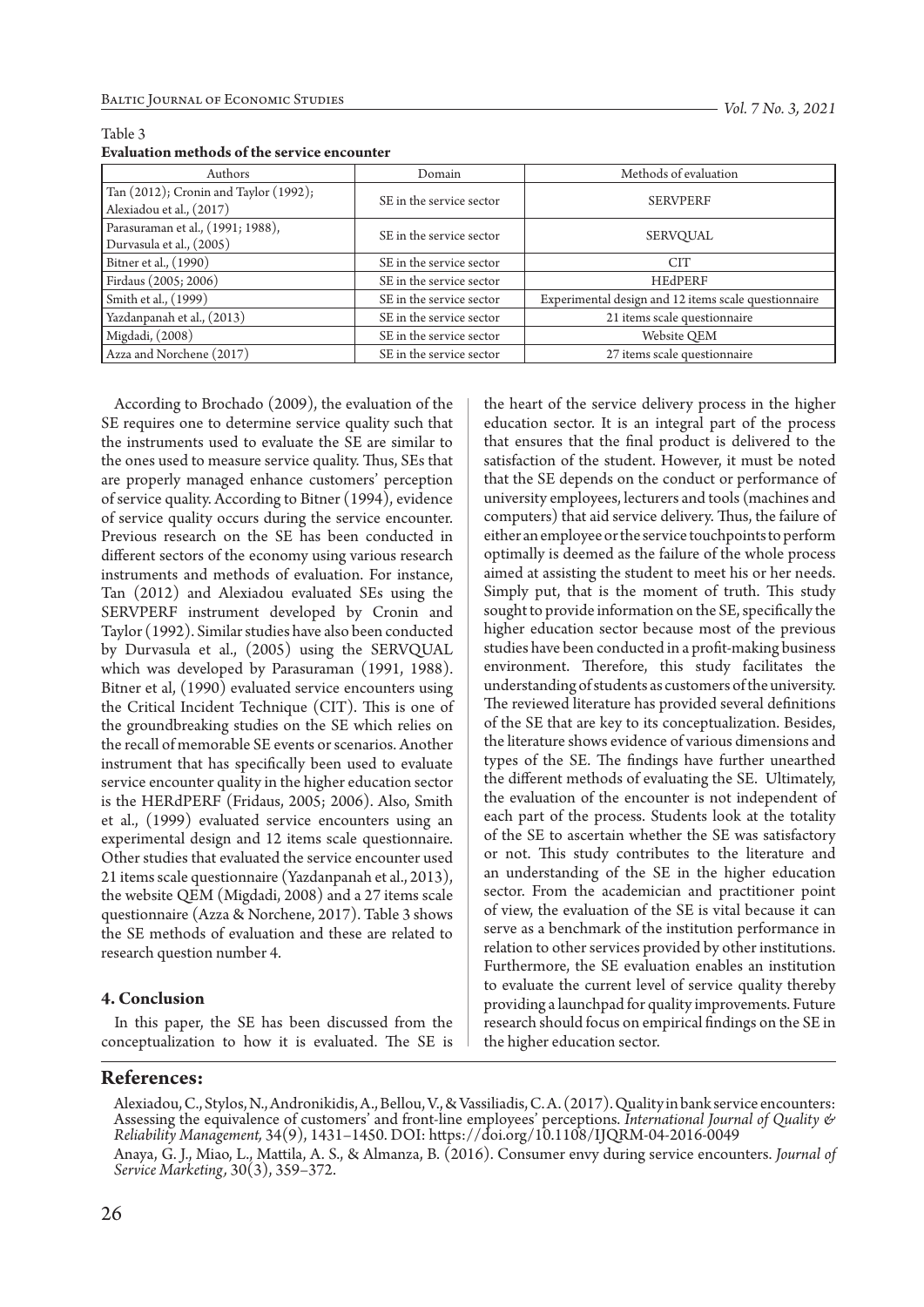| <b>Authors</b>                        | Domain                   | Methods of evaluation                                |  |
|---------------------------------------|--------------------------|------------------------------------------------------|--|
| Tan (2012); Cronin and Taylor (1992); | SE in the service sector | <b>SERVPERF</b>                                      |  |
| Alexiadou et al., (2017)              |                          |                                                      |  |
| Parasuraman et al., (1991; 1988),     | SE in the service sector |                                                      |  |
| Durvasula et al., (2005)              |                          | SERVQUAL                                             |  |
| Bitner et al., (1990)                 | SE in the service sector | CIT                                                  |  |
| Firdaus (2005; 2006)                  | SE in the service sector | <b>HEdPERF</b>                                       |  |
| Smith et al., (1999)                  | SE in the service sector | Experimental design and 12 items scale questionnaire |  |
| Yazdanpanah et al., (2013)            | SE in the service sector | 21 items scale questionnaire                         |  |
| Migdadi, (2008)                       | SE in the service sector | Website QEM                                          |  |
| Azza and Norchene (2017)              | SE in the service sector | 27 items scale questionnaire                         |  |

#### Table 3 **Evaluation methods of the service encounter**

According to Brochado (2009), the evaluation of the SE requires one to determine service quality such that the instruments used to evaluate the SE are similar to the ones used to measure service quality. Thus, SEs that are properly managed enhance customers' perception of service quality. According to Bitner (1994), evidence of service quality occurs during the service encounter. Previous research on the SE has been conducted in different sectors of the economy using various research instruments and methods of evaluation. For instance, Tan (2012) and Alexiadou evaluated SEs using the SERVPERF instrument developed by Cronin and Taylor (1992). Similar studies have also been conducted by Durvasula et al., (2005) using the SERVQUAL which was developed by Parasuraman (1991, 1988). Bitner et al, (1990) evaluated service encounters using the Critical Incident Technique (CIT). This is one of the groundbreaking studies on the SE which relies on the recall of memorable SE events or scenarios. Another instrument that has specifically been used to evaluate service encounter quality in the higher education sector is the HERdPERF (Fridaus, 2005; 2006). Also, Smith et al., (1999) evaluated service encounters using an experimental design and 12 items scale questionnaire. Other studies that evaluated the service encounter used 21 items scale questionnaire (Yazdanpanah et al., 2013), the website QEM (Migdadi, 2008) and a 27 items scale questionnaire (Azza & Norchene, 2017). Table 3 shows the SE methods of evaluation and these are related to research question number 4.

#### **4. Conclusion**

In this paper, the SE has been discussed from the conceptualization to how it is evaluated. The SE is the heart of the service delivery process in the higher education sector. It is an integral part of the process that ensures that the final product is delivered to the satisfaction of the student. However, it must be noted that the SE depends on the conduct or performance of university employees, lecturers and tools (machines and computers) that aid service delivery. Thus, the failure of either an employee or the service touchpoints to perform optimally is deemed as the failure of the whole process aimed at assisting the student to meet his or her needs. Simply put, that is the moment of truth. This study sought to provide information on the SE, specifically the higher education sector because most of the previous studies have been conducted in a profit-making business environment. Therefore, this study facilitates the understanding of students as customers of the university. The reviewed literature has provided several definitions of the SE that are key to its conceptualization. Besides, the literature shows evidence of various dimensions and types of the SE. The findings have further unearthed the different methods of evaluating the SE. Ultimately, the evaluation of the encounter is not independent of each part of the process. Students look at the totality of the SE to ascertain whether the SE was satisfactory or not. This study contributes to the literature and an understanding of the SE in the higher education sector. From the academician and practitioner point of view, the evaluation of the SE is vital because it can serve as a benchmark of the institution performance in relation to other services provided by other institutions. Furthermore, the SE evaluation enables an institution to evaluate the current level of service quality thereby providing a launchpad for quality improvements. Future research should focus on empirical findings on the SE in the higher education sector.

## **References:**

Alexiadou, C., Stylos, N., Andronikidis, A., Bellou, V., & Vassiliadis, C. A. (2017). Quality in bank service encounters: Assessing the equivalence of customers' and front-line employees' perceptions. *International Journal of Quality & Reliability Management,* 34(9), 1431–1450. DOI: https://doi.org/10.1108/IJQRM-04-2016-0049

Anaya, G. J., Miao, L., Mattila, A. S., & Almanza, B. (2016). Consumer envy during service encounters. *Journal of Service Marketing,* 30(3), 359–372.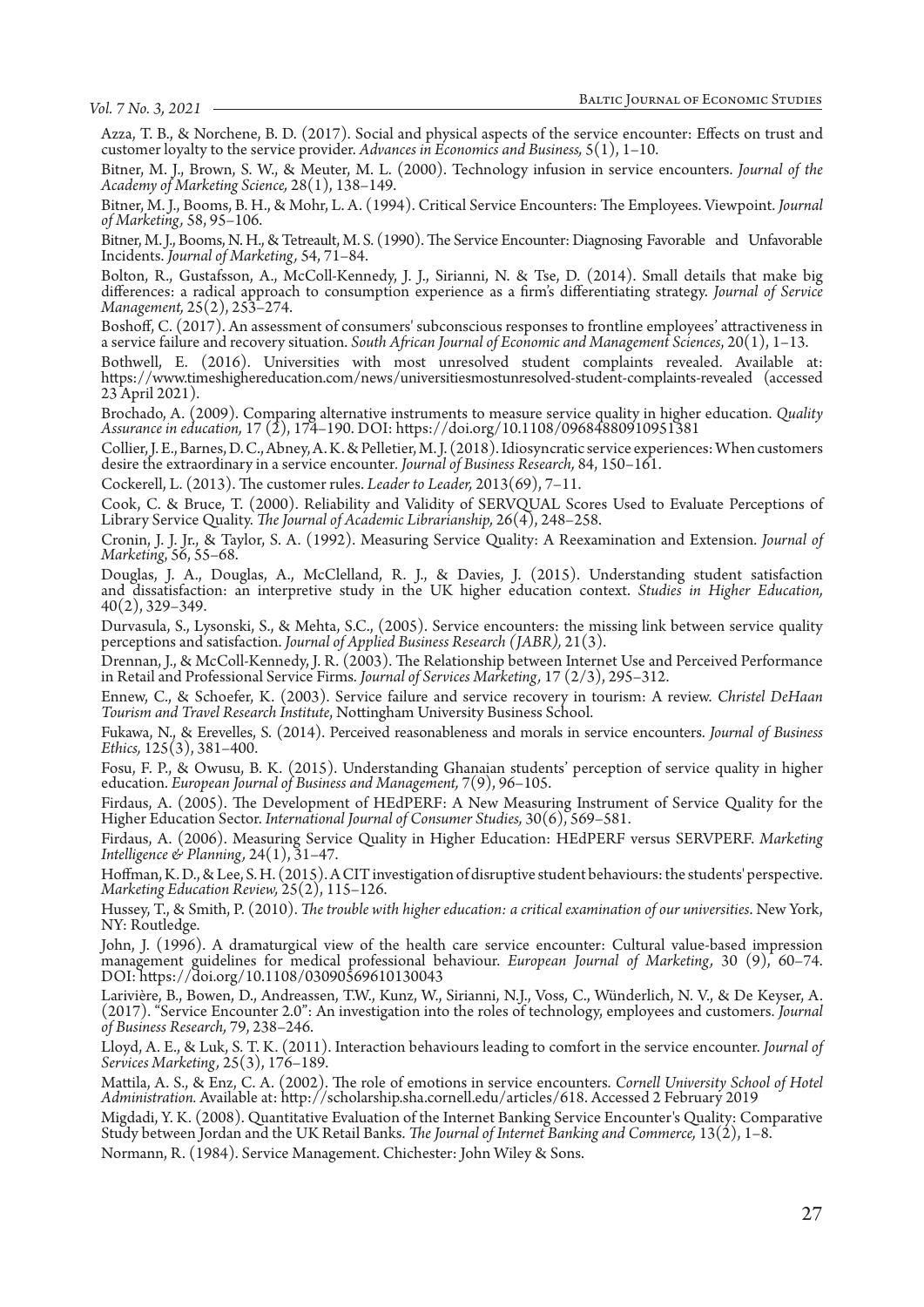Azza, T. B., & Norchene, B. D. (2017). Social and physical aspects of the service encounter: Effects on trust and customer loyalty to the service provider. *Advances in Economics and Business,* 5(1), 1–10.

Bitner, M. J., Brown, S. W., & Meuter, M. L. (2000). Technology infusion in service encounters. *Journal of the Academy of Marketing Science,* 28(1), 138–149.

Bitner, M. J., Booms, B. H., & Mohr, L. A. (1994). Critical Service Encounters: The Employees. Viewpoint. *Journal of Marketing,* 58, 95–106.

Bitner, M. J., Booms, N. H., & Tetreault, M. S. (1990). The Service Encounter: Diagnosing Favorable and Unfavorable Incidents. *Journal of Marketing,* 54, 71–84.

Bolton, R., Gustafsson, A., McColl-Kennedy, J. J., Sirianni, N. & Tse, D. (2014). Small details that make big differences: a radical approach to consumption experience as a firm's differentiating strategy. *Journal of Service Management,* 25(2), 253–274.

Boshoff, C. (2017). An assessment of consumers' subconscious responses to frontline employees' attractiveness in a service failure and recovery situation. *South African Journal of Economic and Management Sciences*, 20(1), 1–13.

Bothwell, E. (2016). Universities with most unresolved student complaints revealed. Available at: https://www.timeshighereducation.com/news/universitiesmostunresolved-student-complaints-revealed (accessed 23 April 2021).

Brochado, A. (2009). Comparing alternative instruments to measure service quality in higher education. *Quality Assurance in education,* 17 (2), 174–190. DOI: https://doi.org/10.1108/09684880910951381

Collier, J. E., Barnes, D. C., Abney, A. K. & Pelletier, M. J. (2018). Idiosyncratic service experiences: When customers desire the extraordinary in a service encounter*. Journal of Business Research,* 84, 150–161.

Cockerell, L. (2013). The customer rules. *Leader to Leader,* 2013(69), 7–11.

Cook, C. & Bruce, T. (2000). Reliability and Validity of SERVQUAL Scores Used to Evaluate Perceptions of Library Service Quality. *The Journal of Academic Librarianship,* 26(4), 248–258.

Cronin, J. J. Jr., & Taylor, S. A. (1992). Measuring Service Quality: A Reexamination and Extension. *Journal of Marketing*, 56, 55–68.

Douglas, J. A., Douglas, A., McClelland, R. J., & Davies, J. (2015). Understanding student satisfaction and dissatisfaction: an interpretive study in the UK higher education context. *Studies in Higher Education,* 40(2), 329–349.

Durvasula, S., Lysonski, S., & Mehta, S.C., (2005). Service encounters: the missing link between service quality perceptions and satisfaction. *Journal of Applied Business Research (JABR),* 21(3).

Drennan, J., & McColl-Kennedy, J. R. (2003). The Relationship between Internet Use and Perceived Performance in Retail and Professional Service Firms. *Journal of Services Marketing,* 17 (2/3), 295–312.

Ennew, C., & Schoefer, K. (2003). Service failure and service recovery in tourism: A review. *Christel DeHaan Tourism and Travel Research Institute*, Nottingham University Business School.

Fukawa, N., & Erevelles, S. (2014). Perceived reasonableness and morals in service encounters. *Journal of Business Ethics,* 125(3), 381–400.

Fosu, F. P., & Owusu, B. K. (2015). Understanding Ghanaian students' perception of service quality in higher education. *European Journal of Business and Management,* 7(9), 96–105.

Firdaus, A. (2005). The Development of HEdPERF: A New Measuring Instrument of Service Quality for the Higher Education Sector. *International Journal of Consumer Studies,* 30(6), 569–581.

Firdaus, A. (2006). Measuring Service Quality in Higher Education: HEdPERF versus SERVPERF. *Marketing Intelligence & Planning,* 24(1), 31–47.

Hoffman, K. D., & Lee, S. H. (2015). A CIT investigation of disruptive student behaviours: the students' perspective. *Marketing Education Review,* 25(2), 115–126.

Hussey, T., & Smith, P. (2010). *The trouble with higher education: a critical examination of our universities*. New York, NY: Routledge.

John, J. (1996). A dramaturgical view of the health care service encounter: Cultural value‐based impression management guidelines for medical professional behaviour. *European Journal of Marketing,* 30 (9), 60–74. DOI: https://doi.org/10.1108/03090569610130043

Larivière, B., Bowen, D., Andreassen, T.W., Kunz, W., Sirianni, N.J., Voss, C., Wünderlich, N. V., & De Keyser, A. (2017). "Service Encounter 2.0": An investigation into the roles of technology, employees and customers. *Journal of Business Research,* 79, 238–246.

Lloyd, A. E., & Luk, S. T. K. (2011). Interaction behaviours leading to comfort in the service encounter. *Journal of Services Marketing,* 25(3), 176–189.

Mattila, A. S., & Enz, C. A. (2002). The role of emotions in service encounters. Cornell University School of Hotel<br>Administration. Available at: http://scholarship.sha.cornell.edu/articles/618. Accessed 2 February 2019

Migdadi, Y. K. (2008). Quantitative Evaluation of the Internet Banking Service Encounter's Quality: Comparative Study between Jordan and the UK Retail Banks. *The Journal of Internet Banking and Commerce,* 13(2), 1–8.

Normann, R. (1984). Service Management. Chichester: John Wiley & Sons.